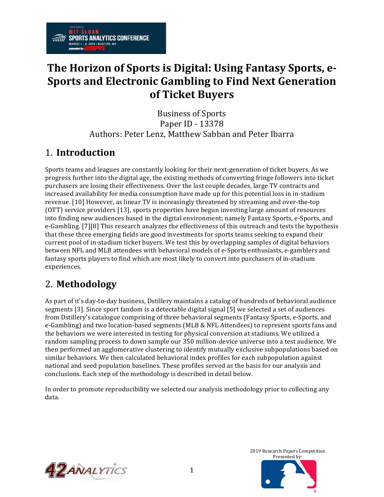## The Horizon of Sports is Digital: Using Fantasy Sports, e-**Sports and Electronic Gambling to Find Next Generation of Ticket Buyers**

**Business of Sports** Paper ID - 13378 Authors: Peter Lenz, Matthew Sabban and Peter Ibarra

## 1. **Introduction**

**SPORTS ANALYTICS CONFERENCE** 

MARCH 1 - 2, 2019 | BOSTON, MA

Sports teams and leagues are constantly looking for their next-generation of ticket buyers. As we progress further into the digital age, the existing methods of converting fringe followers into ticket purchasers are losing their effectiveness. Over the last couple decades, large TV contracts and increased availability for media consumption have made up for this potential loss in in-stadium revenue. [10] However, as linear TV is increasingly threatened by streaming and over-the-top (OTT) service providers [13], sports properties have begun investing large amount of resources into finding new audiences based in the digital environment; namely Fantasy Sports, e-Sports, and e-Gambling. [7][8] This research analyzes the effectiveness of this outreach and tests the hypothesis that these three emerging fields are good investments for sports teams seeking to expand their current pool of in-stadium ticket buyers. We test this by overlapping samples of digital behaviors between NFL and MLB attendees with behavioral models of e-Sports enthusiasts, e-gamblers and fantasy sports players to find which are most likely to convert into purchasers of in-stadium experiences.

## 2. **Methodology**

As part of it's day-to-day business, Dstillery maintains a catalog of hundreds of behavioral audience segments [3]. Since sport fandom is a detectable digital signal [5] we selected a set of audiences from Dstillery's catalogue comprising of three behavioral segments (Fantasy Sports, e-Sports, and e-Gambling) and two location-based segments (MLB & NFL Attendees) to represent sports fans and the behaviors we were interested in testing for physical conversion at stadiums. We utilized a random sampling process to down sample our 350 million-device universe into a test audience. We then performed an agglomerative clustering to identify mutually exclusive subpopulations based on similar behaviors. We then calculated behavioral index profiles for each subpopulation against national and seed population baselines. These profiles served as the basis for our analysis and conclusions. Each step of the methodology is described in detail below.

In order to promote reproducibility we selected our analysis methodology prior to collecting any data.



2019 Research Papers Competition Presented by: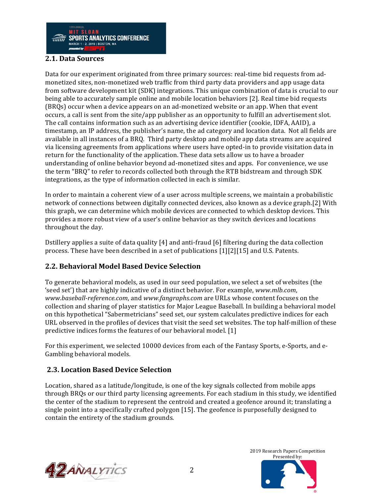

### **2.1. Data Sources**

Data for our experiment originated from three primary sources: real-time bid requests from admonetized sites, non-monetized web traffic from third party data providers and app usage data from software development kit (SDK) integrations. This unique combination of data is crucial to our being able to accurately sample online and mobile location behaviors [2]. Real time bid requests (BRQs) occur when a device appears on an ad-monetized website or an app. When that event occurs, a call is sent from the site/app publisher as an opportunity to fulfill an advertisement slot. The call contains information such as an advertising device identifier (cookie, IDFA, AAID), a timestamp, an IP address, the publisher's name, the ad category and location data. Not all fields are available in all instances of a BRQ. Third party desktop and mobile app data streams are acquired via licensing agreements from applications where users have opted-in to provide visitation data in return for the functionality of the application. These data sets allow us to have a broader understanding of online behavior beyond ad-monetized sites and apps. For convenience, we use the term "BRQ" to refer to records collected both through the RTB bidstream and through SDK integrations, as the type of information collected in each is similar.

In order to maintain a coherent view of a user across multiple screens, we maintain a probabilistic network of connections between digitally connected devices, also known as a device graph.[2] With this graph, we can determine which mobile devices are connected to which desktop devices. This provides a more robust view of a user's online behavior as they switch devices and locations throughout the day.

Dstillery applies a suite of data quality  $[4]$  and anti-fraud  $[6]$  filtering during the data collection process. These have been described in a set of publications  $[1][2][15]$  and U.S. Patents.

## **2.2. Behavioral Model Based Device Selection**

To generate behavioral models, as used in our seed population, we select a set of websites (the 'seed set') that are highly indicative of a distinct behavior. For example, *www.mlb.com*, *www.baseball-reference.com*, and *www.fangraphs.com* are URLs whose content focuses on the collection and sharing of player statistics for Major League Baseball. In building a behavioral model on this hypothetical "Sabermetricians" seed set, our system calculates predictive indices for each URL observed in the profiles of devices that visit the seed set websites. The top half-million of these predictive indices forms the features of our behavioral model.  $[1]$ 

For this experiment, we selected 10000 devices from each of the Fantasy Sports, e-Sports, and e-Gambling behavioral models.

## **2.3. Location Based Device Selection**

Location, shared as a latitude/longitude, is one of the key signals collected from mobile apps through BRQs or our third party licensing agreements. For each stadium in this study, we identified the center of the stadium to represent the centroid and created a geofence around it; translating a single point into a specifically crafted polygon [15]. The geofence is purposefully designed to contain the entirety of the stadium grounds.



2019 Research Papers Competition Presented by:

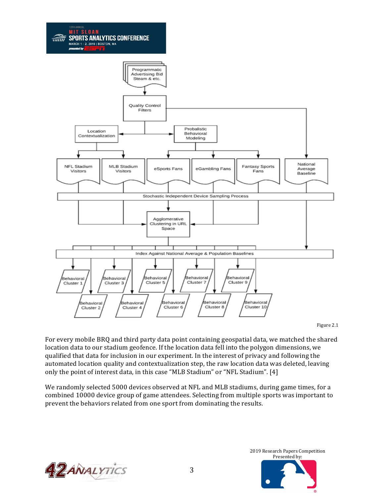

Figure 2.1

For every mobile BRQ and third party data point containing geospatial data, we matched the shared location data to our stadium geofence. If the location data fell into the polygon dimensions, we qualified that data for inclusion in our experiment. In the interest of privacy and following the automated location quality and contextualization step, the raw location data was deleted, leaving only the point of interest data, in this case "MLB Stadium" or "NFL Stadium". [4]

We randomly selected 5000 devices observed at NFL and MLB stadiums, during game times, for a combined 10000 device group of game attendees. Selecting from multiple sports was important to prevent the behaviors related from one sport from dominating the results.



2019 Research Papers Competition Presented by: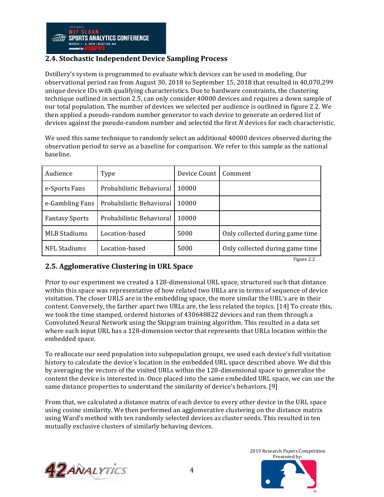## **2.4. Stochastic Independent Device Sampling Process**

Dstillery's system is programmed to evaluate which devices can be used in modeling. Our observational period ran from August 30, 2018 to September 15, 2018 that resulted in 40,070,299 unique device IDs with qualifying characteristics. Due to hardware constraints, the clustering technique outlined in section 2.5, can only consider 40000 devices and requires a down sample of our total population. The number of devices we selected per audience is outlined in figure 2.2. We then applied a pseudo-random number generator to each device to generate an ordered list of devices against the pseudo-random number and selected the first *N* devices for each characteristic.

We used this same technique to randomly select an additional 40000 devices observed during the observation period to serve as a baseline for comparison. We refer to this sample as the national baseline. 

| Audience              | Type                     | Device Count | Comment                         |
|-----------------------|--------------------------|--------------|---------------------------------|
| e-Sports Fans         | Probabilistic Behavioral | 10000        |                                 |
| e-Gambling Fans       | Probabilistic Behavioral | 10000        |                                 |
| <b>Fantasy Sports</b> | Probabilistic Behavioral | 10000        |                                 |
| <b>MLB Stadiums</b>   | Location-based           | 5000         | Only collected during game time |
| NFL Stadiums          | Location-based           | 5000         | Only collected during game time |

## **2.5. Agglomerative Clustering in URL Space**

Prior to our experiment we created a 128-dimensional URL space, structured such that distance within this space was representative of how related two URLs are in terms of sequence of device visitation. The closer URLS are in the embedding space, the more similar the URL's are in their content. Conversely, the farther apart two URLs are, the less related the topics. [14] To create this, we took the time stamped, ordered histories of 430648822 devices and ran them through a Convoluted Neural Network using the Skipgram training algorithm. This resulted in a data set where each input URL has a 128-dimension vector that represents that URLs location within the embedded space.

To reallocate our seed population into subpopulation groups, we used each device's full visitation history to calculate the device's location in the embedded URL space described above. We did this by averaging the vectors of the visited URLs within the 128-dimensional space to generalize the content the device is interested in. Once placed into the same embedded URL space, we can use the same distance properties to understand the similarity of device's behaviors. [9]

From that, we calculated a distance matrix of each device to every other device in the URL space using cosine similarity. We then performed an agglomerative clustering on the distance matrix using Ward's method with ten randomly selected devices as cluster seeds. This resulted in ten mutually exclusive clusters of similarly behaving devices.



2019 Research Papers Competition Presented by:

Figure 2.2

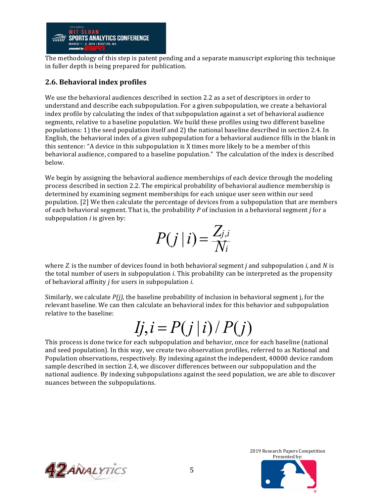

The methodology of this step is patent pending and a separate manuscript exploring this technique in fuller depth is being prepared for publication.

## **2.6. Behavioral index profiles**

We use the behavioral audiences described in section 2.2 as a set of descriptors in order to understand and describe each subpopulation. For a given subpopulation, we create a behavioral index profile by calculating the index of that subpopulation against a set of behavioral audience segments, relative to a baseline population. We build these profiles using two different baseline populations: 1) the seed population itself and 2) the national baseline described in section 2.4. In English, the behavioral index of a given subpopulation for a behavioral audience fills in the blank in this sentence: "A device in this subpopulation is X times more likely to be a member of this behavioral audience, compared to a baseline population." The calculation of the index is described below.

We begin by assigning the behavioral audience memberships of each device through the modeling process described in section 2.2. The empirical probability of behavioral audience membership is determined by examining segment memberships for each unique user seen within our seed population. [2] We then calculate the percentage of devices from a subpopulation that are members of each behavioral segment. That is, the probability *P* of inclusion in a behavioral segment *j* for a subpopulation  $i$  is given by:

$$
P(j|i) = \frac{Z_{j,i}}{N_i}
$$

where  $Z_i$  is the number of devices found in both behavioral segment *j* and subpopulation *i*, and *N* is the total number of users in subpopulation *i*. This probability can be interpreted as the propensity of behavioral affinity *j* for users in subpopulation *i*.

Similarly, we calculate  $P(j)$ , the baseline probability of inclusion in behavioral segment j, for the relevant baseline. We can then calculate an behavioral index for this behavior and subpopulation relative to the baseline:

# $Ij, i = P(j|i) / P(j)$

This process is done twice for each subpopulation and behavior, once for each baseline (national and seed population). In this way, we create two observation profiles, referred to as National and Population observations, respectively. By indexing against the independent, 40000 device random sample described in section 2.4, we discover differences between our subpopulation and the national audience. By indexing subpopulations against the seed population, we are able to discover nuances between the subpopulations.



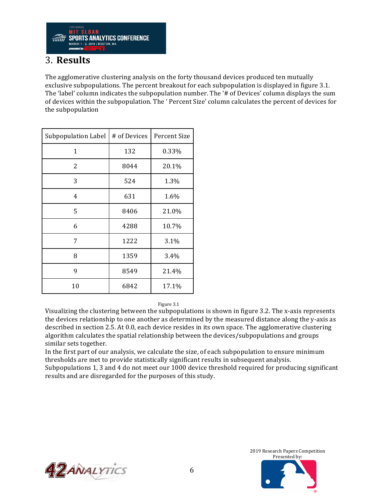

## 3. **Results**

The agglomerative clustering analysis on the forty thousand devices produced ten mutually exclusive subpopulations. The percent breakout for each subpopulation is displayed in figure 3.1. The 'label' column indicates the subpopulation number. The '# of Devices' column displays the sum of devices within the subpopulation. The ' Percent Size' column calculates the percent of devices for the subpopulation

| Subpopulation Label | # of Devices | Percent Size |
|---------------------|--------------|--------------|
| 1                   | 132          | 0.33%        |
| 2                   | 8044         | 20.1%        |
| 3                   | 524          | 1.3%         |
| 4                   | 631          | 1.6%         |
| 5                   | 8406         | 21.0%        |
| 6                   | 4288         | 10.7%        |
| 7                   | 1222         | 3.1%         |
| 8                   | 1359         | 3.4%         |
| 9                   | 8549         | 21.4%        |
| 10                  | 6842         | 17.1%        |

#### Figure 3.1

Visualizing the clustering between the subpopulations is shown in figure 3.2. The x-axis represents the devices relationship to one another as determined by the measured distance along the y-axis as described in section 2.5. At 0.0, each device resides in its own space. The agglomerative clustering algorithm calculates the spatial relationship between the devices/subpopulations and groups similar sets together.

In the first part of our analysis, we calculate the size, of each subpopulation to ensure minimum thresholds are met to provide statistically significant results in subsequent analysis. Subpopulations 1, 3 and 4 do not meet our 1000 device threshold required for producing significant

results and are disregarded for the purposes of this study.



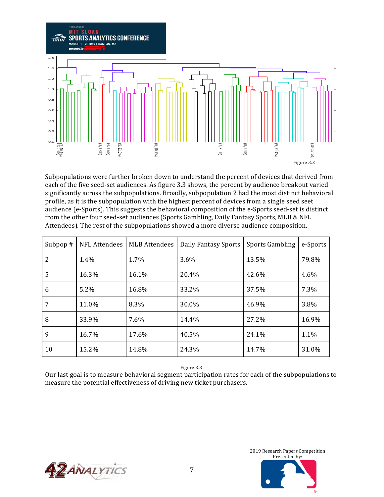

Subpopulations were further broken down to understand the percent of devices that derived from each of the five seed-set audiences. As figure 3.3 shows, the percent by audience breakout varied significantly across the subpopulations. Broadly, subpopulation 2 had the most distinct behavioral profile, as it is the subpopulation with the highest percent of devices from a single seed seet audience (e-Sports). This suggests the behavioral composition of the e-Sports seed-set is distinct from the other four seed-set audiences (Sports Gambling, Daily Fantasy Sports, MLB & NFL Attendees). The rest of the subpopulations showed a more diverse audience composition.

| Subpop $#$     | NFL Attendees | <b>MLB</b> Attendees | Daily Fantasy Sports | <b>Sports Gambling</b> | e-Sports |
|----------------|---------------|----------------------|----------------------|------------------------|----------|
| $\overline{2}$ | 1.4%          | 1.7%                 | 3.6%                 | 13.5%                  | 79.8%    |
| 5              | 16.3%         | 16.1%                | 20.4%                | 42.6%                  | 4.6%     |
| 6              | 5.2%          | 16.8%                | 33.2%                | 37.5%                  | 7.3%     |
| 7              | 11.0%         | 8.3%                 | 30.0%                | 46.9%                  | 3.8%     |
| 8              | 33.9%         | 7.6%                 | 14.4%                | 27.2%                  | 16.9%    |
| 9              | 16.7%         | 17.6%                | 40.5%                | 24.1%                  | 1.1%     |
| 10             | 15.2%         | 14.8%                | 24.3%                | 14.7%                  | 31.0%    |

Figure 3.3

Our last goal is to measure behavioral segment participation rates for each of the subpopulations to measure the potential effectiveness of driving new ticket purchasers.



2019 Research Papers Competition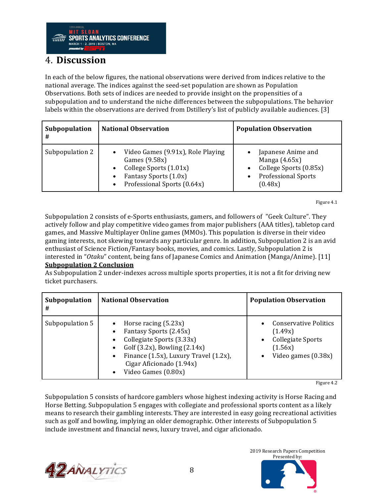

## 4. **Discussion**

In each of the below figures, the national observations were derived from indices relative to the national average. The indices against the seed-set population are shown as Population Observations. Both sets of indices are needed to provide insight on the propensities of a subpopulation and to understand the niche differences between the subpopulations. The behavior labels within the observations are derived from Dstillery's list of publicly available audiences. [3]

| Subpopulation<br># | <b>National Observation</b>                                                                                                          | <b>Population Observation</b>                                                                            |
|--------------------|--------------------------------------------------------------------------------------------------------------------------------------|----------------------------------------------------------------------------------------------------------|
| Subpopulation 2    | Video Games (9.91x), Role Playing<br>Games (9.58x)<br>College Sports (1.01x)<br>Fantasy Sports (1.0x)<br>Professional Sports (0.64x) | Japanese Anime and<br>Manga $(4.65x)$<br>College Sports (0.85x)<br><b>Professional Sports</b><br>(0.48x) |

Figure 4.1

Subpopulation 2 consists of e-Sports enthusiasts, gamers, and followers of "Geek Culture". They actively follow and play competitive video games from major publishers (AAA titles), tabletop card games, and Massive Multiplayer Online games (MMOs). This population is diverse in their video gaming interests, not skewing towards any particular genre. In addition, Subpopulation 2 is an avid enthusiast of Science Fiction/Fantasy books, movies, and comics. Lastly, Subpopulation 2 is interested in "*Otaku*" content, being fans of Japanese Comics and Animation (Manga/Anime). [11]

#### **<u>Subpopulation 2 Conclusion</u>**

As Subpopulation 2 under-indexes across multiple sports properties, it is not a fit for driving new ticket purchasers.

| Subpopulation<br># | <b>National Observation</b>                                                                                                                                                                                                                           | <b>Population Observation</b>                                                                                 |
|--------------------|-------------------------------------------------------------------------------------------------------------------------------------------------------------------------------------------------------------------------------------------------------|---------------------------------------------------------------------------------------------------------------|
| Subpopulation 5    | Horse racing $(5.23x)$<br>Fantasy Sports (2.45x)<br>Collegiate Sports (3.33x)<br>$\bullet$<br>Golf $(3.2x)$ , Bowling $(2.14x)$<br>Finance (1.5x), Luxury Travel (1.2x),<br>$\bullet$<br>Cigar Aficionado (1.94x)<br>Video Games (0.80x)<br>$\bullet$ | Conservative Politics<br>(1.49x)<br><b>Collegiate Sports</b><br>$\bullet$<br>(1.56x)<br>Video games $(0.38x)$ |

Figure 4.2

Subpopulation 5 consists of hardcore gamblers whose highest indexing activity is Horse Racing and Horse Betting. Subpopulation 5 engages with collegiate and professional sports content as a likely means to research their gambling interests. They are interested in easy going recreational activities such as golf and bowling, implying an older demographic. Other interests of Subpopulation 5 include investment and financial news, luxury travel, and cigar aficionado.



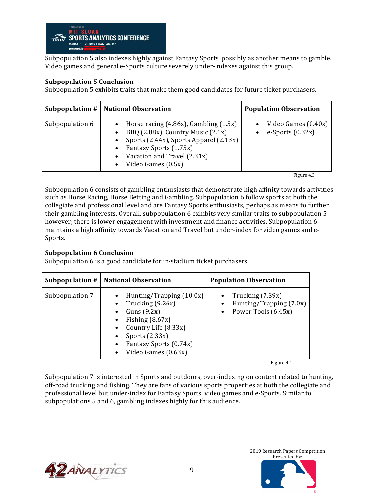

Subpopulation 5 also indexes highly against Fantasy Sports, possibly as another means to gamble. Video games and general e-Sports culture severely under-indexes against this group.

#### **Subpopulation 5 Conclusion**

Subpopulation 5 exhibits traits that make them good candidates for future ticket purchasers.

|                 | Subpopulation #   National Observation                                                                                                                                                                   | <b>Population Observation</b>             |
|-----------------|----------------------------------------------------------------------------------------------------------------------------------------------------------------------------------------------------------|-------------------------------------------|
| Subpopulation 6 | Horse racing $(4.86x)$ , Gambling $(1.5x)$<br>BBQ (2.88x), Country Music (2.1x)<br>Sports (2.44x), Sports Apparel (2.13x)<br>Fantasy Sports (1.75x)<br>Vacation and Travel (2.31x)<br>Video Games (0.5x) | Video Games (0.40x)<br>e-Sports $(0.32x)$ |

Figure 4.3

Subpopulation 6 consists of gambling enthusiasts that demonstrate high affinity towards activities such as Horse Racing, Horse Betting and Gambling. Subpopulation 6 follow sports at both the collegiate and professional level and are Fantasy Sports enthusiasts, perhaps as means to further their gambling interests. Overall, subpopulation 6 exhibits very similar traits to subpopulation 5 however; there is lower engagement with investment and finance activities. Subpopulation 6 maintains a high affinity towards Vacation and Travel but under-index for video games and e-Sports.

#### **Subpopulation 6 Conclusion**

Subpopulation 6 is a good candidate for in-stadium ticket purchasers.

| Subpopulation $#$ | <b>National Observation</b>                                                                                                                                                                  | <b>Population Observation</b>                                                                    |
|-------------------|----------------------------------------------------------------------------------------------------------------------------------------------------------------------------------------------|--------------------------------------------------------------------------------------------------|
| Subpopulation 7   | Hunting/Trapping (10.0x)<br>Trucking (9.26x)<br>Guns $(9.2x)$<br>Fishing $(8.67x)$<br>Country Life (8.33x)<br>Sports $(2.33x)$<br>$\bullet$<br>Fantasy Sports (0.74x)<br>Video Games (0.63x) | Trucking $(7.39x)$<br>Hunting/Trapping $(7.0x)$<br>$\bullet$<br>Power Tools (6.45x)<br>$\bullet$ |

Figure 4.4

Subpopulation 7 is interested in Sports and outdoors, over-indexing on content related to hunting, off-road trucking and fishing. They are fans of various sports properties at both the collegiate and professional level but under-index for Fantasy Sports, video games and e-Sports. Similar to subpopulations 5 and 6, gambling indexes highly for this audience.

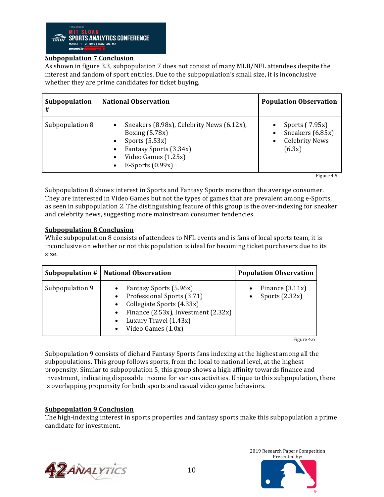

### **Subpopulation 7 Conclusion**

As shown in figure 3.3, subpopulation 7 does not consist of many MLB/NFL attendees despite the interest and fandom of sport entities. Due to the subpopulation's small size, it is inconclusive whether they are prime candidates for ticket buying.

| Subpopulation<br># | <b>National Observation</b>                                                                                                                                                          | <b>Population Observation</b>                                         |
|--------------------|--------------------------------------------------------------------------------------------------------------------------------------------------------------------------------------|-----------------------------------------------------------------------|
| Subpopulation 8    | Sneakers (8.98x), Celebrity News (6.12x),<br>$\bullet$<br>Boxing $(5.78x)$<br>Sports $(5.53x)$<br>٠<br>Fantasy Sports (3.34x)<br>٠<br>Video Games (1.25x)<br>E-Sports $(0.99x)$<br>٠ | Sports (7.95x)<br>Sneakers (6.85x)<br><b>Celebrity News</b><br>(6.3x) |

Figure 4.5

Subpopulation 8 shows interest in Sports and Fantasy Sports more than the average consumer. They are interested in Video Games but not the types of games that are prevalent among e-Sports, as seen in subpopulation 2. The distinguishing feature of this group is the over-indexing for sneaker and celebrity news, suggesting more mainstream consumer tendencies.

#### **Subpopulation 8 Conclusion**

While subpopulation 8 consists of attendees to NFL events and is fans of local sports team, it is inconclusive on whether or not this population is ideal for becoming ticket purchasers due to its size.

|                 | Subpopulation #   National Observation                                                                                                                                                    | <b>Population Observation</b>         |
|-----------------|-------------------------------------------------------------------------------------------------------------------------------------------------------------------------------------------|---------------------------------------|
| Subpopulation 9 | Fantasy Sports (5.96x)<br>Professional Sports (3.71)<br>Collegiate Sports (4.33x)<br>Finance $(2.53x)$ , Investment $(2.32x)$<br>$\bullet$<br>Luxury Travel (1.43x)<br>Video Games (1.0x) | Finance $(3.11x)$<br>Sports $(2.32x)$ |

Figure 4.6

Subpopulation 9 consists of diehard Fantasy Sports fans indexing at the highest among all the subpopulations. This group follows sports, from the local to national level, at the highest propensity. Similar to subpopulation 5, this group shows a high affinity towards finance and investment, indicating disposable income for various activities. Unique to this subpopulation, there is overlapping propensity for both sports and casual video game behaviors.

#### **<u>Subpopulation 9 Conclusion</u>**

The high-indexing interest in sports properties and fantasy sports make this subpopulation a prime candidate for investment.



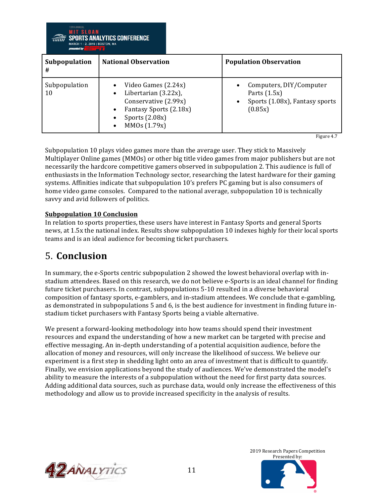| <b>National Observation</b><br>Subpopulation<br><b>Population Observation</b><br>#<br>Subpopulation<br>Video Games (2.24x)<br>Computers, DIY/Computer<br>Libertarian (3.22x),<br>10<br>Parts $(1.5x)$<br>Conservative (2.99x)<br>Fantasy Sports (2.18x)<br>(0.85x) | <b>MIT SLOAN</b><br><b>MARCH 1 - 2, 2019   BOSTON, MA</b><br>presented by | <b>SPORTS ANALYTICS CONFERENCE</b> |                                |
|--------------------------------------------------------------------------------------------------------------------------------------------------------------------------------------------------------------------------------------------------------------------|---------------------------------------------------------------------------|------------------------------------|--------------------------------|
|                                                                                                                                                                                                                                                                    |                                                                           |                                    |                                |
| MMOs (1.79x)                                                                                                                                                                                                                                                       |                                                                           | Sports $(2.08x)$                   | Sports (1.08x), Fantasy sports |

Figure 4.7

Subpopulation 10 plays video games more than the average user. They stick to Massively Multiplayer Online games (MMOs) or other big title video games from major publishers but are not necessarily the hardcore competitive gamers observed in subpopulation 2. This audience is full of enthusiasts in the Information Technology sector, researching the latest hardware for their gaming systems. Affinities indicate that subpopulation 10's prefers PC gaming but is also consumers of home video game consoles. Compared to the national average, subpopulation 10 is technically savvy and avid followers of politics.

## **Subpopulation 10 Conclusion**

In relation to sports properties, these users have interest in Fantasy Sports and general Sports news, at 1.5x the national index. Results show subpopulation 10 indexes highly for their local sports teams and is an ideal audience for becoming ticket purchasers.

## 5. **Conclusion**

In summary, the e-Sports centric subpopulation 2 showed the lowest behavioral overlap with instadium attendees. Based on this research, we do not believe e-Sports is an ideal channel for finding future ticket purchasers. In contrast, subpopulations 5-10 resulted in a diverse behavioral composition of fantasy sports, e-gamblers, and in-stadium attendees. We conclude that e-gambling, as demonstrated in subpopulations 5 and 6, is the best audience for investment in finding future instadium ticket purchasers with Fantasy Sports being a viable alternative.

We present a forward-looking methodology into how teams should spend their investment resources and expand the understanding of how a new market can be targeted with precise and effective messaging. An in-depth understanding of a potential acquisition audience, before the allocation of money and resources, will only increase the likelihood of success. We believe our experiment is a first step in shedding light onto an area of investment that is difficult to quantify. Finally, we envision applications beyond the study of audiences. We've demonstrated the model's ability to measure the interests of a subpopulation without the need for first party data sources. Adding additional data sources, such as purchase data, would only increase the effectiveness of this methodology and allow us to provide increased specificity in the analysis of results.



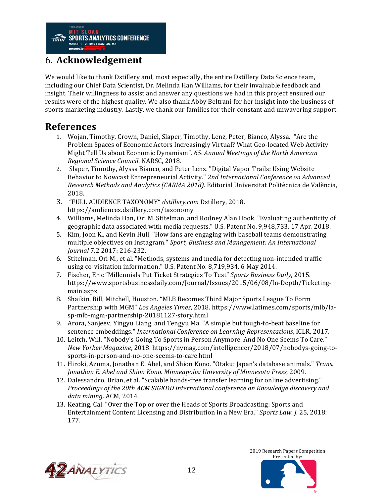## 6. **Acknowledgement**

We would like to thank Dstillery and, most especially, the entire Dstillery Data Science team, including our Chief Data Scientist, Dr. Melinda Han Williams, for their invaluable feedback and insight. Their willingness to assist and answer any questions we had in this project ensured our results were of the highest quality. We also thank Abby Beltrani for her insight into the business of sports marketing industry. Lastly, we thank our families for their constant and unwavering support.

## **References**

- 1. Wojan, Timothy, Crown, Daniel, Slaper, Timothy, Lenz, Peter, Bianco, Alyssa. "Are the Problem Spaces of Economic Actors Increasingly Virtual? What Geo-located Web Activity Might Tell Us about Economic Dynamism". 65<sub>*hannual Meetings of the North American*</sub> *Regional Science Council*. NARSC, 2018.
- 2. Slaper, Timothy, Alyssa Bianco, and Peter Lenz. "Digital Vapor Trails: Using Website Behavior to Nowcast Entrepreneurial Activity." 2nd International Conference on Advanced *Research Methods and Analytics (CARMA 2018)*. Editorial Universitat Politècnica de València, 2018.
- 3. "FULL AUDIENCE TAXONOMY" *dstillery.com* Dstillery, 2018. https://audiences.dstillery.com/taxonomy
- 4. Williams, Melinda Han, Ori M. Stitelman, and Rodney Alan Hook. "Evaluating authenticity of geographic data associated with media requests." U.S. Patent No. 9,948,733. 17 Apr. 2018.
- 5. Kim, Joon K., and Kevin Hull. "How fans are engaging with baseball teams demonstrating multiple objectives on Instagram." Sport, Business and Management: An International *Journal* 7.2 2017: 216-232.
- 6. Stitelman, Ori M., et al. "Methods, systems and media for detecting non-intended traffic using co-visitation information." U.S. Patent No. 8,719,934. 6 May 2014.
- 7. Fischer, Eric "Millennials Put Ticket Strategies To Test" *Sports Business Daily*, 2015. https://www.sportsbusinessdaily.com/Journal/Issues/2015/06/08/In-Depth/Ticketingmain.aspx
- 8. Shaikin, Bill, Mitchell, Houston. "MLB Becomes Third Major Sports League To Form Partnership with MGM" Los Angeles Times, 2018. https://www.latimes.com/sports/mlb/lasp-mlb-mgm-partnership-20181127-story.html
- 9. Arora, Sanjeev, Yingyu Liang, and Tengyu Ma. "A simple but tough-to-beat baseline for sentence embeddings." *International Conference on Learning Representations*, ICLR, 2017.
- 10. Leitch, Will. "Nobody's Going To Sports in Person Anymore. And No One Seems To Care." *New Yorker Magazine*, 2018. https://nymag.com/intelligencer/2018/07/nobodys-going-tosports-in-person-and-no-one-seems-to-care.html
- 11. Hiroki, Azuma, Jonathan E. Abel, and Shion Kono. "Otaku: Japan's database animals." *Trans. Jonathan E. Abel and Shion Kono. Minneapolis: University of Minnesota Press*, 2009.
- 12. Dalessandro, Brian, et al. "Scalable hands-free transfer learning for online advertising." *Proceedings of the 20th ACM SIGKDD international conference on Knowledge discovery and* data mining. ACM, 2014.
- 13. Keating, Cal. "Over the Top or over the Heads of Sports Broadcasting: Sports and Entertainment Content Licensing and Distribution in a New Era." *Sports Law.* J. 25, 2018: 177.